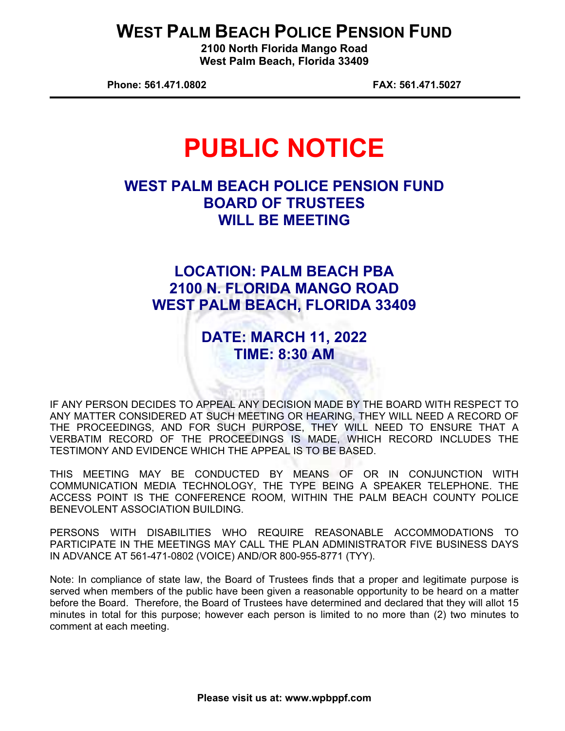## **WEST PALM BEACH POLICE PENSION FUND**

**2100 North Florida Mango Road West Palm Beach, Florida 33409** 

**Phone: 561.471.0802 FAX: 561.471.5027** 

# **PUBLIC NOTICE**

## **WEST PALM BEACH POLICE PENSION FUND BOARD OF TRUSTEES WILL BE MEETING**

## **LOCATION: PALM BEACH PBA 2100 N. FLORIDA MANGO ROAD WEST PALM BEACH, FLORIDA 33409**

## **DATE: MARCH 11, 2022 TIME: 8:30 AM**

IF ANY PERSON DECIDES TO APPEAL ANY DECISION MADE BY THE BOARD WITH RESPECT TO ANY MATTER CONSIDERED AT SUCH MEETING OR HEARING, THEY WILL NEED A RECORD OF THE PROCEEDINGS, AND FOR SUCH PURPOSE, THEY WILL NEED TO ENSURE THAT A VERBATIM RECORD OF THE PROCEEDINGS IS MADE, WHICH RECORD INCLUDES THE TESTIMONY AND EVIDENCE WHICH THE APPEAL IS TO BE BASED.

THIS MEETING MAY BE CONDUCTED BY MEANS OF OR IN CONJUNCTION WITH COMMUNICATION MEDIA TECHNOLOGY, THE TYPE BEING A SPEAKER TELEPHONE. THE ACCESS POINT IS THE CONFERENCE ROOM, WITHIN THE PALM BEACH COUNTY POLICE BENEVOLENT ASSOCIATION BUILDING.

PERSONS WITH DISABILITIES WHO REQUIRE REASONABLE ACCOMMODATIONS TO PARTICIPATE IN THE MEETINGS MAY CALL THE PLAN ADMINISTRATOR FIVE BUSINESS DAYS IN ADVANCE AT 561-471-0802 (VOICE) AND/OR 800-955-8771 (TYY).

Note: In compliance of state law, the Board of Trustees finds that a proper and legitimate purpose is served when members of the public have been given a reasonable opportunity to be heard on a matter before the Board. Therefore, the Board of Trustees have determined and declared that they will allot 15 minutes in total for this purpose; however each person is limited to no more than (2) two minutes to comment at each meeting.